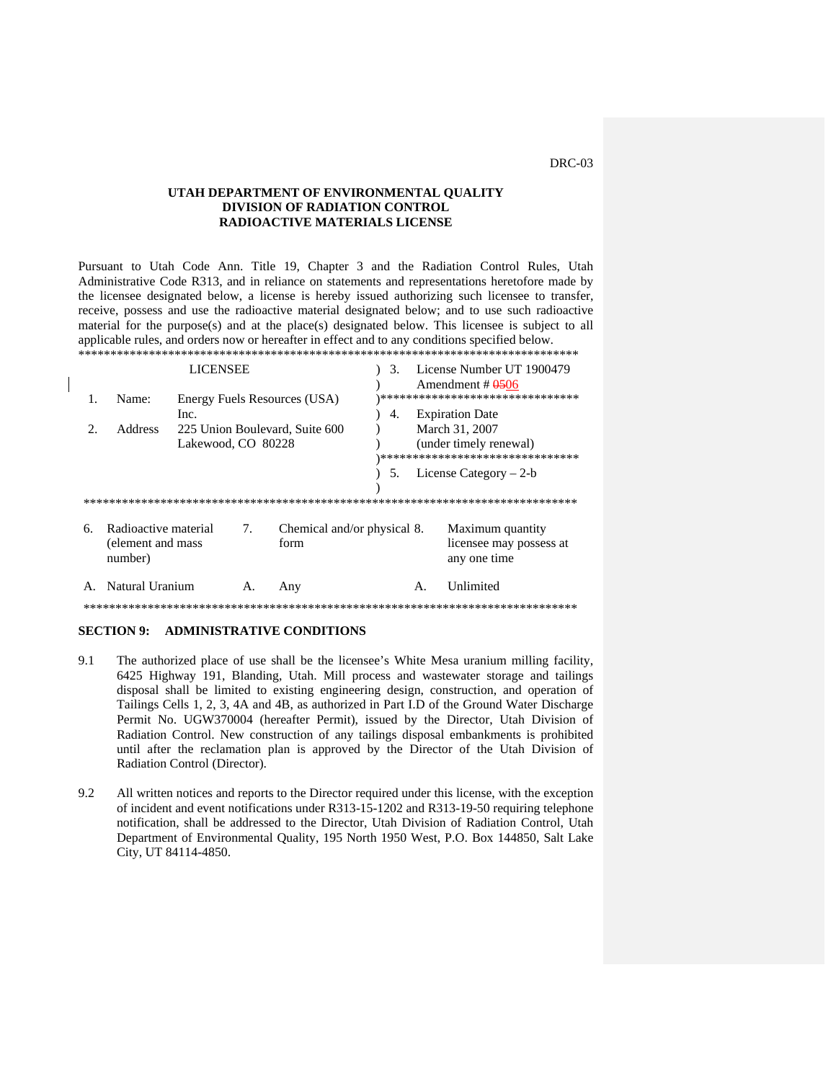DRC-03

## **UTAH DEPARTMENT OF ENVIRONMENTAL QUALITY DIVISION OF RADIATION CONTROL RADIOACTIVE MATERIALS LICENSE**

Pursuant to Utah Code Ann. Title 19, Chapter 3 and the Radiation Control Rules, Utah Administrative Code R313, and in reliance on statements and representations heretofore made by the licensee designated below, a license is hereby issued authorizing such licensee to transfer, receive, possess and use the radioactive material designated below; and to use such radioactive material for the purpose(s) and at the place(s) designated below. This licensee is subject to all applicable rules, and orders now or hereafter in effect and to any conditions specified below. \*\*\*\*\*\*\*\*\*\*\*\*\*\*\*\*\*\*\*\*\*\*\*\*\*\*\*\*\*\*\*\*\*\*\*\*\*\*\*\*\*\*\*\*\*\*\*\*\*\*\*\*\*\*\*\*\*\*\*\*\*\*\*\*\*\*\*\*\*\*\*\*\*\*\*\*\*\*

| LICENSEE                                                    |                                                                               |                                                                                              |                |                                     |    | 3. |                                                                                                                                            | License Number UT 1900479<br>Amendment # $\frac{0.506}{0.06}$ |  |
|-------------------------------------------------------------|-------------------------------------------------------------------------------|----------------------------------------------------------------------------------------------|----------------|-------------------------------------|----|----|--------------------------------------------------------------------------------------------------------------------------------------------|---------------------------------------------------------------|--|
|                                                             | Name:                                                                         | Energy Fuels Resources (USA)<br>Inc.<br>225 Union Boulevard, Suite 600<br>Lakewood, CO 80228 |                |                                     | 4. |    | \*******************************<br><b>Expiration Date</b><br>March 31, 2007<br>(under timely renewal)<br> ******************************* |                                                               |  |
|                                                             | Address                                                                       |                                                                                              |                |                                     |    |    |                                                                                                                                            |                                                               |  |
| License Category $-2-b$<br>5.                               |                                                                               |                                                                                              |                |                                     |    |    |                                                                                                                                            |                                                               |  |
| Radioactive material<br>6.<br>(element and mass)<br>number) |                                                                               |                                                                                              | 7.             | Chemical and/or physical 8.<br>form |    |    |                                                                                                                                            | Maximum quantity<br>licensee may possess at<br>any one time   |  |
|                                                             | Natural Uranium                                                               |                                                                                              | $\mathsf{A}$ . | Any                                 |    |    | $\mathsf{A}$                                                                                                                               | Unlimited                                                     |  |
|                                                             | *************************************<br>************************************ |                                                                                              |                |                                     |    |    |                                                                                                                                            |                                                               |  |

## **SECTION 9: ADMINISTRATIVE CONDITIONS**

- 9.1 The authorized place of use shall be the licensee's White Mesa uranium milling facility, 6425 Highway 191, Blanding, Utah. Mill process and wastewater storage and tailings disposal shall be limited to existing engineering design, construction, and operation of Tailings Cells 1, 2, 3, 4A and 4B, as authorized in Part I.D of the Ground Water Discharge Permit No. UGW370004 (hereafter Permit), issued by the Director, Utah Division of Radiation Control. New construction of any tailings disposal embankments is prohibited until after the reclamation plan is approved by the Director of the Utah Division of Radiation Control (Director).
- 9.2 All written notices and reports to the Director required under this license, with the exception of incident and event notifications under R313-15-1202 and R313-19-50 requiring telephone notification, shall be addressed to the Director, Utah Division of Radiation Control, Utah Department of Environmental Quality, 195 North 1950 West, P.O. Box 144850, Salt Lake City, UT 84114-4850.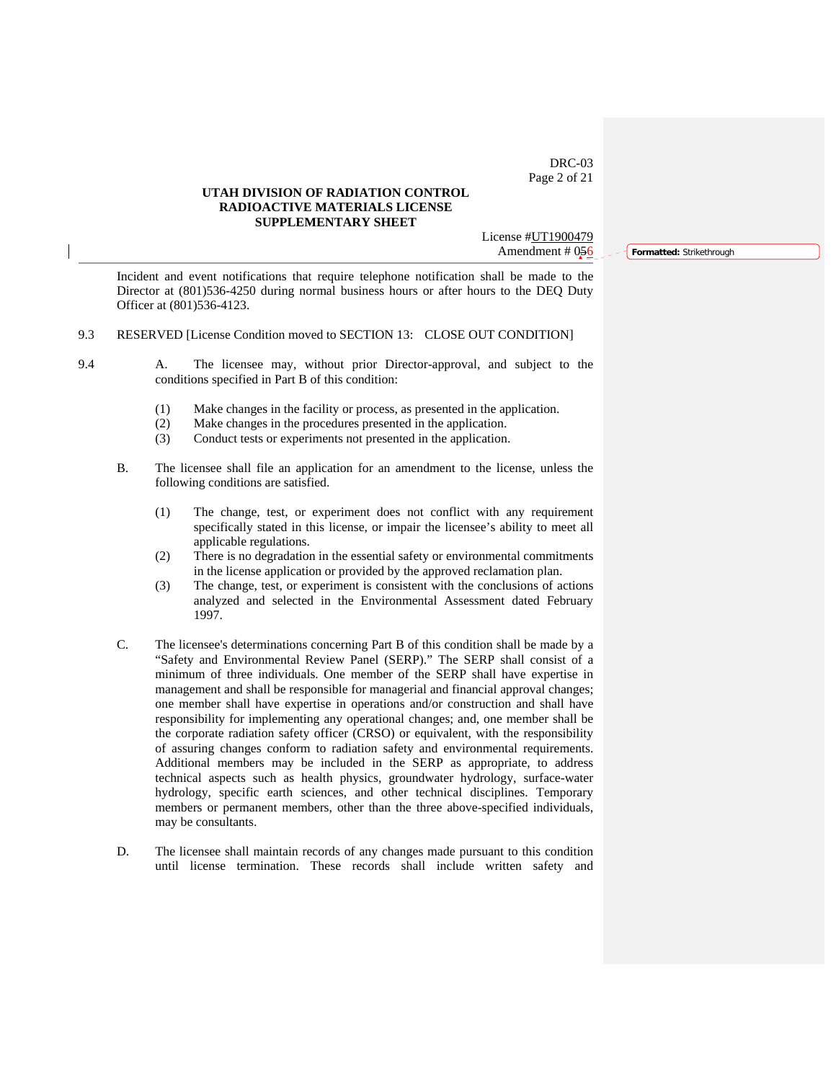DRC-03 Page 2 of 21

# **UTAH DIVISION OF RADIATION CONTROL RADIOACTIVE MATERIALS LICENSE SUPPLEMENTARY SHEET**

License #UT1900479 Amendment # 056 **Formatted:** Strikethrough

Incident and event notifications that require telephone notification shall be made to the Director at (801)536-4250 during normal business hours or after hours to the DEQ Duty Officer at (801)536-4123.

#### 9.3 RESERVED [License Condition moved to SECTION 13: CLOSE OUT CONDITION]

9.4 A. The licensee may, without prior Director-approval, and subject to the conditions specified in Part B of this condition:

- (1) Make changes in the facility or process, as presented in the application.
- (2) Make changes in the procedures presented in the application.
- (3) Conduct tests or experiments not presented in the application.
- B. The licensee shall file an application for an amendment to the license, unless the following conditions are satisfied.
	- (1) The change, test, or experiment does not conflict with any requirement specifically stated in this license, or impair the licensee's ability to meet all applicable regulations.
	- (2) There is no degradation in the essential safety or environmental commitments in the license application or provided by the approved reclamation plan.
	- (3) The change, test, or experiment is consistent with the conclusions of actions analyzed and selected in the Environmental Assessment dated February 1997.
- C. The licensee's determinations concerning Part B of this condition shall be made by a "Safety and Environmental Review Panel (SERP)." The SERP shall consist of a minimum of three individuals. One member of the SERP shall have expertise in management and shall be responsible for managerial and financial approval changes; one member shall have expertise in operations and/or construction and shall have responsibility for implementing any operational changes; and, one member shall be the corporate radiation safety officer (CRSO) or equivalent, with the responsibility of assuring changes conform to radiation safety and environmental requirements. Additional members may be included in the SERP as appropriate, to address technical aspects such as health physics, groundwater hydrology, surface-water hydrology, specific earth sciences, and other technical disciplines. Temporary members or permanent members, other than the three above-specified individuals, may be consultants.
- D. The licensee shall maintain records of any changes made pursuant to this condition until license termination. These records shall include written safety and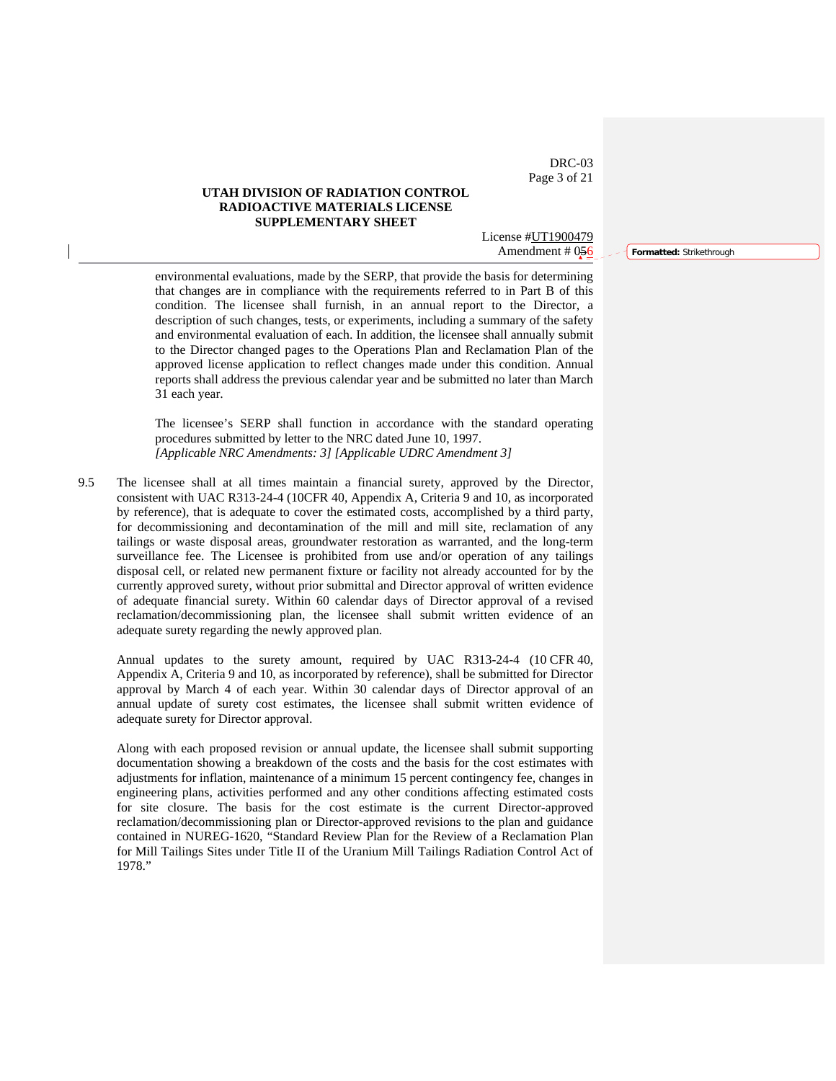DRC-03 Page 3 of 21

## **UTAH DIVISION OF RADIATION CONTROL RADIOACTIVE MATERIALS LICENSE SUPPLEMENTARY SHEET**

License #UT1900479 Amendment # 056 **Formatted:** Strikethrough

environmental evaluations, made by the SERP, that provide the basis for determining that changes are in compliance with the requirements referred to in Part B of this condition. The licensee shall furnish, in an annual report to the Director, a description of such changes, tests, or experiments, including a summary of the safety and environmental evaluation of each. In addition, the licensee shall annually submit to the Director changed pages to the Operations Plan and Reclamation Plan of the approved license application to reflect changes made under this condition. Annual reports shall address the previous calendar year and be submitted no later than March 31 each year.

The licensee's SERP shall function in accordance with the standard operating procedures submitted by letter to the NRC dated June 10, 1997. *[Applicable NRC Amendments: 3] [Applicable UDRC Amendment 3]* 

9.5 The licensee shall at all times maintain a financial surety, approved by the Director, consistent with UAC R313-24-4 (10CFR 40, Appendix A, Criteria 9 and 10, as incorporated by reference), that is adequate to cover the estimated costs, accomplished by a third party, for decommissioning and decontamination of the mill and mill site, reclamation of any tailings or waste disposal areas, groundwater restoration as warranted, and the long-term surveillance fee. The Licensee is prohibited from use and/or operation of any tailings disposal cell, or related new permanent fixture or facility not already accounted for by the currently approved surety, without prior submittal and Director approval of written evidence of adequate financial surety. Within 60 calendar days of Director approval of a revised reclamation/decommissioning plan, the licensee shall submit written evidence of an adequate surety regarding the newly approved plan.

Annual updates to the surety amount, required by UAC R313-24-4 (10 CFR 40, Appendix A, Criteria 9 and 10, as incorporated by reference), shall be submitted for Director approval by March 4 of each year. Within 30 calendar days of Director approval of an annual update of surety cost estimates, the licensee shall submit written evidence of adequate surety for Director approval.

Along with each proposed revision or annual update, the licensee shall submit supporting documentation showing a breakdown of the costs and the basis for the cost estimates with adjustments for inflation, maintenance of a minimum 15 percent contingency fee, changes in engineering plans, activities performed and any other conditions affecting estimated costs for site closure. The basis for the cost estimate is the current Director-approved reclamation/decommissioning plan or Director-approved revisions to the plan and guidance contained in NUREG-1620, "Standard Review Plan for the Review of a Reclamation Plan for Mill Tailings Sites under Title II of the Uranium Mill Tailings Radiation Control Act of 1978."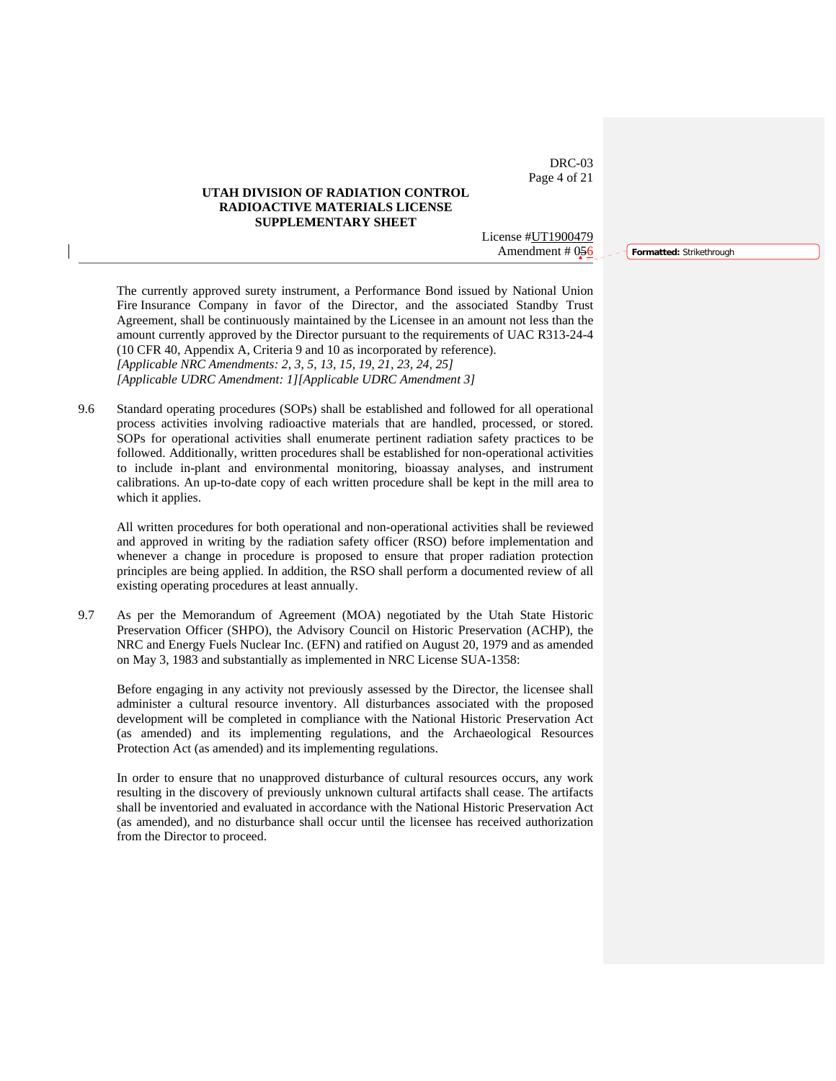DRC-03 Page 4 of 21

#### **UTAH DIVISION OF RADIATION CONTROL RADIOACTIVE MATERIALS LICENSE SUPPLEMENTARY SHEET**

License #UT1900479

The currently approved surety instrument, a Performance Bond issued by National Union Fire Insurance Company in favor of the Director, and the associated Standby Trust Agreement, shall be continuously maintained by the Licensee in an amount not less than the amount currently approved by the Director pursuant to the requirements of UAC R313-24-4 (10 CFR 40, Appendix A, Criteria 9 and 10 as incorporated by reference). *[Applicable NRC Amendments: 2, 3, 5, 13, 15, 19, 21, 23, 24, 25] [Applicable UDRC Amendment: 1][Applicable UDRC Amendment 3]*

9.6 Standard operating procedures (SOPs) shall be established and followed for all operational process activities involving radioactive materials that are handled, processed, or stored. SOPs for operational activities shall enumerate pertinent radiation safety practices to be followed. Additionally, written procedures shall be established for non-operational activities to include in-plant and environmental monitoring, bioassay analyses, and instrument calibrations. An up-to-date copy of each written procedure shall be kept in the mill area to which it applies.

All written procedures for both operational and non-operational activities shall be reviewed and approved in writing by the radiation safety officer (RSO) before implementation and whenever a change in procedure is proposed to ensure that proper radiation protection principles are being applied. In addition, the RSO shall perform a documented review of all existing operating procedures at least annually.

9.7 As per the Memorandum of Agreement (MOA) negotiated by the Utah State Historic Preservation Officer (SHPO), the Advisory Council on Historic Preservation (ACHP), the NRC and Energy Fuels Nuclear Inc. (EFN) and ratified on August 20, 1979 and as amended on May 3, 1983 and substantially as implemented in NRC License SUA-1358:

Before engaging in any activity not previously assessed by the Director, the licensee shall administer a cultural resource inventory. All disturbances associated with the proposed development will be completed in compliance with the National Historic Preservation Act (as amended) and its implementing regulations, and the Archaeological Resources Protection Act (as amended) and its implementing regulations.

In order to ensure that no unapproved disturbance of cultural resources occurs, any work resulting in the discovery of previously unknown cultural artifacts shall cease. The artifacts shall be inventoried and evaluated in accordance with the National Historic Preservation Act (as amended), and no disturbance shall occur until the licensee has received authorization from the Director to proceed.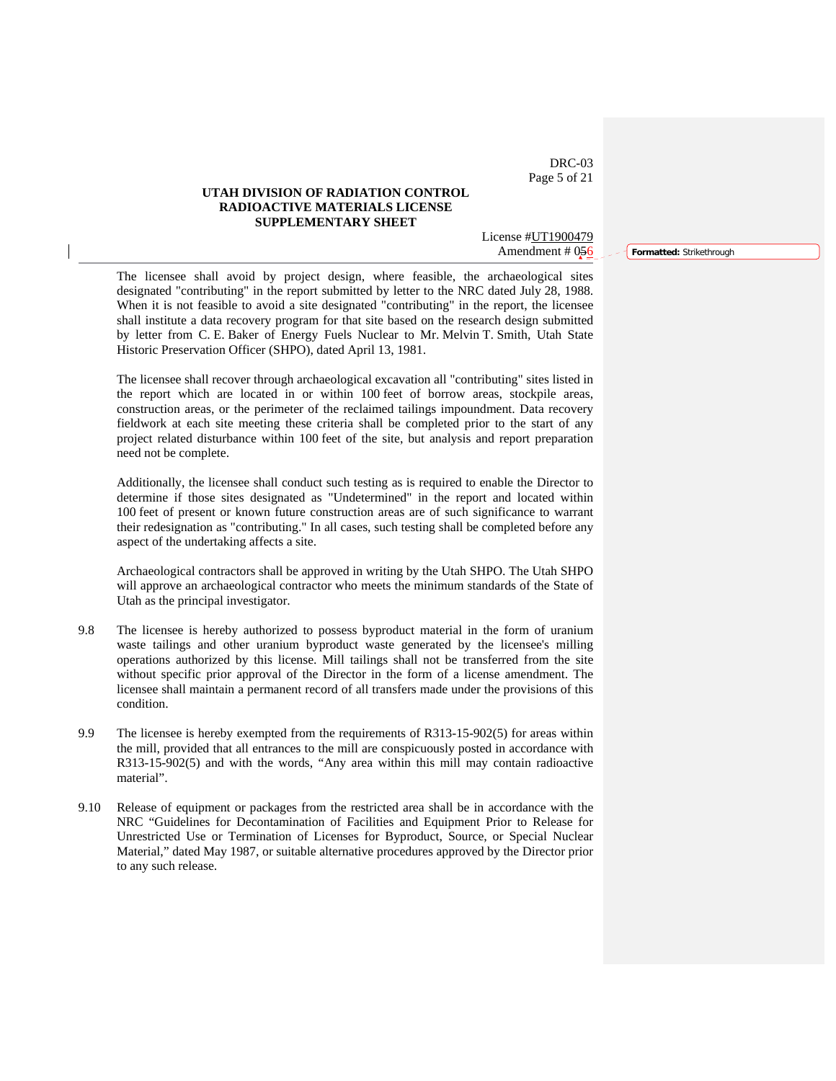DRC-03 Page 5 of 21

## **UTAH DIVISION OF RADIATION CONTROL RADIOACTIVE MATERIALS LICENSE SUPPLEMENTARY SHEET**

License #UT1900479

The licensee shall avoid by project design, where feasible, the archaeological sites designated "contributing" in the report submitted by letter to the NRC dated July 28, 1988. When it is not feasible to avoid a site designated "contributing" in the report, the licensee shall institute a data recovery program for that site based on the research design submitted by letter from C. E. Baker of Energy Fuels Nuclear to Mr. Melvin T. Smith, Utah State Historic Preservation Officer (SHPO), dated April 13, 1981.

The licensee shall recover through archaeological excavation all "contributing" sites listed in the report which are located in or within 100 feet of borrow areas, stockpile areas, construction areas, or the perimeter of the reclaimed tailings impoundment. Data recovery fieldwork at each site meeting these criteria shall be completed prior to the start of any project related disturbance within 100 feet of the site, but analysis and report preparation need not be complete.

Additionally, the licensee shall conduct such testing as is required to enable the Director to determine if those sites designated as "Undetermined" in the report and located within 100 feet of present or known future construction areas are of such significance to warrant their redesignation as "contributing." In all cases, such testing shall be completed before any aspect of the undertaking affects a site.

Archaeological contractors shall be approved in writing by the Utah SHPO. The Utah SHPO will approve an archaeological contractor who meets the minimum standards of the State of Utah as the principal investigator.

- 9.8 The licensee is hereby authorized to possess byproduct material in the form of uranium waste tailings and other uranium byproduct waste generated by the licensee's milling operations authorized by this license. Mill tailings shall not be transferred from the site without specific prior approval of the Director in the form of a license amendment. The licensee shall maintain a permanent record of all transfers made under the provisions of this condition.
- 9.9 The licensee is hereby exempted from the requirements of R313-15-902(5) for areas within the mill, provided that all entrances to the mill are conspicuously posted in accordance with R313-15-902(5) and with the words, "Any area within this mill may contain radioactive material".
- 9.10 Release of equipment or packages from the restricted area shall be in accordance with the NRC "Guidelines for Decontamination of Facilities and Equipment Prior to Release for Unrestricted Use or Termination of Licenses for Byproduct, Source, or Special Nuclear Material," dated May 1987, or suitable alternative procedures approved by the Director prior to any such release.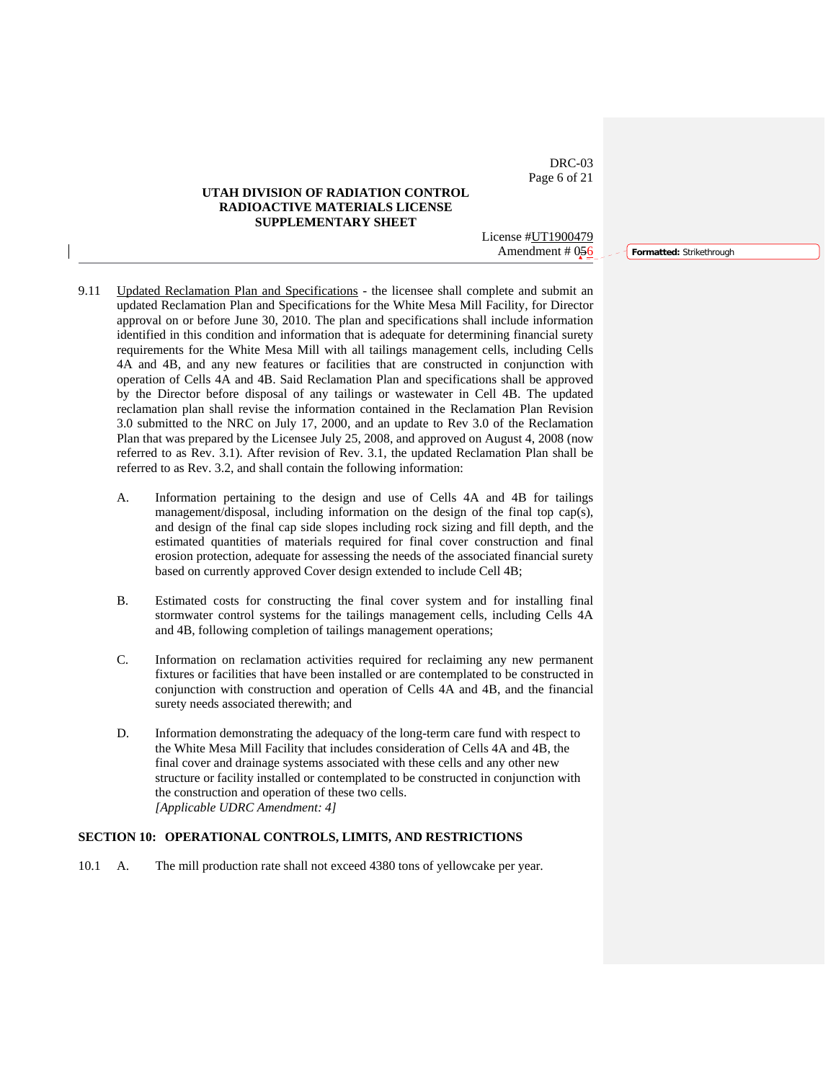DRC-03 Page 6 of 21

#### **UTAH DIVISION OF RADIATION CONTROL RADIOACTIVE MATERIALS LICENSE SUPPLEMENTARY SHEET**

License #UT1900479 Amendment # 056 **Formatted:** Strikethrough

- 9.11 Updated Reclamation Plan and Specifications the licensee shall complete and submit an updated Reclamation Plan and Specifications for the White Mesa Mill Facility, for Director approval on or before June 30, 2010. The plan and specifications shall include information identified in this condition and information that is adequate for determining financial surety requirements for the White Mesa Mill with all tailings management cells, including Cells 4A and 4B, and any new features or facilities that are constructed in conjunction with operation of Cells 4A and 4B. Said Reclamation Plan and specifications shall be approved by the Director before disposal of any tailings or wastewater in Cell 4B. The updated reclamation plan shall revise the information contained in the Reclamation Plan Revision 3.0 submitted to the NRC on July 17, 2000, and an update to Rev 3.0 of the Reclamation Plan that was prepared by the Licensee July 25, 2008, and approved on August 4, 2008 (now referred to as Rev. 3.1). After revision of Rev. 3.1, the updated Reclamation Plan shall be referred to as Rev. 3.2, and shall contain the following information:
	- A. Information pertaining to the design and use of Cells 4A and 4B for tailings management/disposal, including information on the design of the final top cap(s), and design of the final cap side slopes including rock sizing and fill depth, and the estimated quantities of materials required for final cover construction and final erosion protection, adequate for assessing the needs of the associated financial surety based on currently approved Cover design extended to include Cell 4B;
	- B. Estimated costs for constructing the final cover system and for installing final stormwater control systems for the tailings management cells, including Cells 4A and 4B, following completion of tailings management operations;
	- C. Information on reclamation activities required for reclaiming any new permanent fixtures or facilities that have been installed or are contemplated to be constructed in conjunction with construction and operation of Cells 4A and 4B, and the financial surety needs associated therewith; and
	- D. Information demonstrating the adequacy of the long-term care fund with respect to the White Mesa Mill Facility that includes consideration of Cells 4A and 4B, the final cover and drainage systems associated with these cells and any other new structure or facility installed or contemplated to be constructed in conjunction with the construction and operation of these two cells. *[Applicable UDRC Amendment: 4]*

# **SECTION 10: OPERATIONAL CONTROLS, LIMITS, AND RESTRICTIONS**

10.1 A. The mill production rate shall not exceed 4380 tons of yellowcake per year.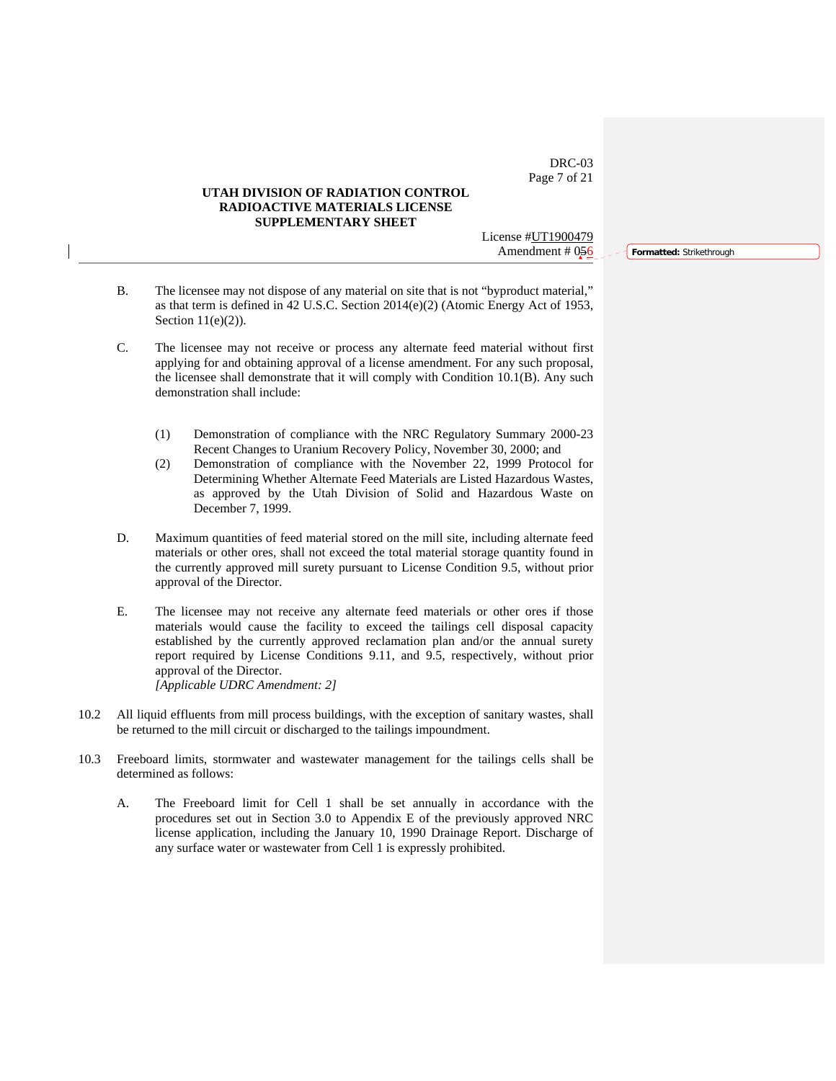DRC-03 Page 7 of 21

## **UTAH DIVISION OF RADIATION CONTROL RADIOACTIVE MATERIALS LICENSE SUPPLEMENTARY SHEET**

License #UT1900479

- B. The licensee may not dispose of any material on site that is not "byproduct material," as that term is defined in 42 U.S.C. Section 2014(e)(2) (Atomic Energy Act of 1953, Section  $11(e)(2)$ ).
- C. The licensee may not receive or process any alternate feed material without first applying for and obtaining approval of a license amendment. For any such proposal, the licensee shall demonstrate that it will comply with Condition 10.1(B). Any such demonstration shall include:
	- (1) Demonstration of compliance with the NRC Regulatory Summary 2000-23 Recent Changes to Uranium Recovery Policy, November 30, 2000; and
	- (2) Demonstration of compliance with the November 22, 1999 Protocol for Determining Whether Alternate Feed Materials are Listed Hazardous Wastes, as approved by the Utah Division of Solid and Hazardous Waste on December 7, 1999.
- D. Maximum quantities of feed material stored on the mill site, including alternate feed materials or other ores, shall not exceed the total material storage quantity found in the currently approved mill surety pursuant to License Condition 9.5, without prior approval of the Director.
- E. The licensee may not receive any alternate feed materials or other ores if those materials would cause the facility to exceed the tailings cell disposal capacity established by the currently approved reclamation plan and/or the annual surety report required by License Conditions 9.11, and 9.5, respectively, without prior approval of the Director.  *[Applicable UDRC Amendment: 2]*
- 10.2 All liquid effluents from mill process buildings, with the exception of sanitary wastes, shall be returned to the mill circuit or discharged to the tailings impoundment.
- 10.3 Freeboard limits, stormwater and wastewater management for the tailings cells shall be determined as follows:
	- A. The Freeboard limit for Cell 1 shall be set annually in accordance with the procedures set out in Section 3.0 to Appendix E of the previously approved NRC license application, including the January 10, 1990 Drainage Report. Discharge of any surface water or wastewater from Cell 1 is expressly prohibited.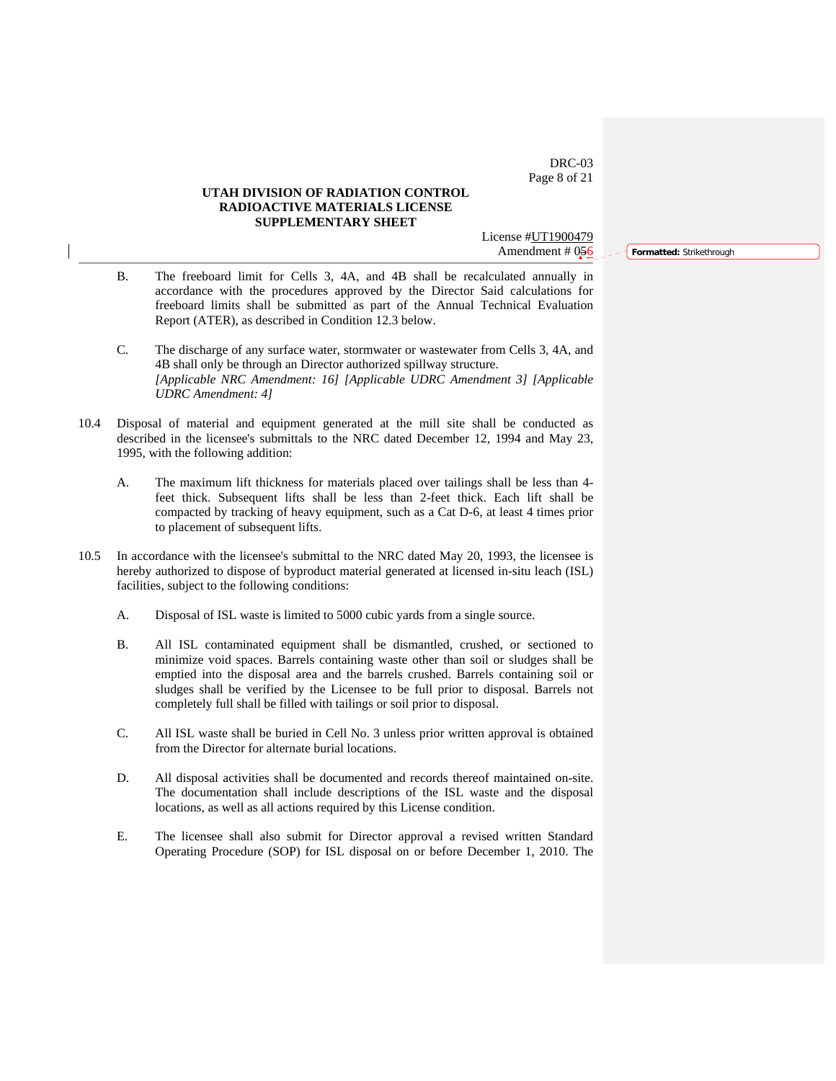DRC-03 Page 8 of 21

## **UTAH DIVISION OF RADIATION CONTROL RADIOACTIVE MATERIALS LICENSE SUPPLEMENTARY SHEET**

License #UT1900479 Amendment # 056 **Formatted:** Strikethrough

- B. The freeboard limit for Cells 3, 4A, and 4B shall be recalculated annually in accordance with the procedures approved by the Director Said calculations for freeboard limits shall be submitted as part of the Annual Technical Evaluation Report (ATER), as described in Condition 12.3 below.
- C. The discharge of any surface water, stormwater or wastewater from Cells 3, 4A, and 4B shall only be through an Director authorized spillway structure. *[Applicable NRC Amendment: 16] [Applicable UDRC Amendment 3] [Applicable UDRC Amendment: 4]*
- 10.4 Disposal of material and equipment generated at the mill site shall be conducted as described in the licensee's submittals to the NRC dated December 12, 1994 and May 23, 1995, with the following addition:
	- A. The maximum lift thickness for materials placed over tailings shall be less than 4 feet thick. Subsequent lifts shall be less than 2-feet thick. Each lift shall be compacted by tracking of heavy equipment, such as a Cat D-6, at least 4 times prior to placement of subsequent lifts.
- 10.5 In accordance with the licensee's submittal to the NRC dated May 20, 1993, the licensee is hereby authorized to dispose of byproduct material generated at licensed in-situ leach (ISL) facilities, subject to the following conditions:
	- A. Disposal of ISL waste is limited to 5000 cubic yards from a single source.
	- B. All ISL contaminated equipment shall be dismantled, crushed, or sectioned to minimize void spaces. Barrels containing waste other than soil or sludges shall be emptied into the disposal area and the barrels crushed. Barrels containing soil or sludges shall be verified by the Licensee to be full prior to disposal. Barrels not completely full shall be filled with tailings or soil prior to disposal.
	- C. All ISL waste shall be buried in Cell No. 3 unless prior written approval is obtained from the Director for alternate burial locations.
	- D. All disposal activities shall be documented and records thereof maintained on-site. The documentation shall include descriptions of the ISL waste and the disposal locations, as well as all actions required by this License condition.
	- E. The licensee shall also submit for Director approval a revised written Standard Operating Procedure (SOP) for ISL disposal on or before December 1, 2010. The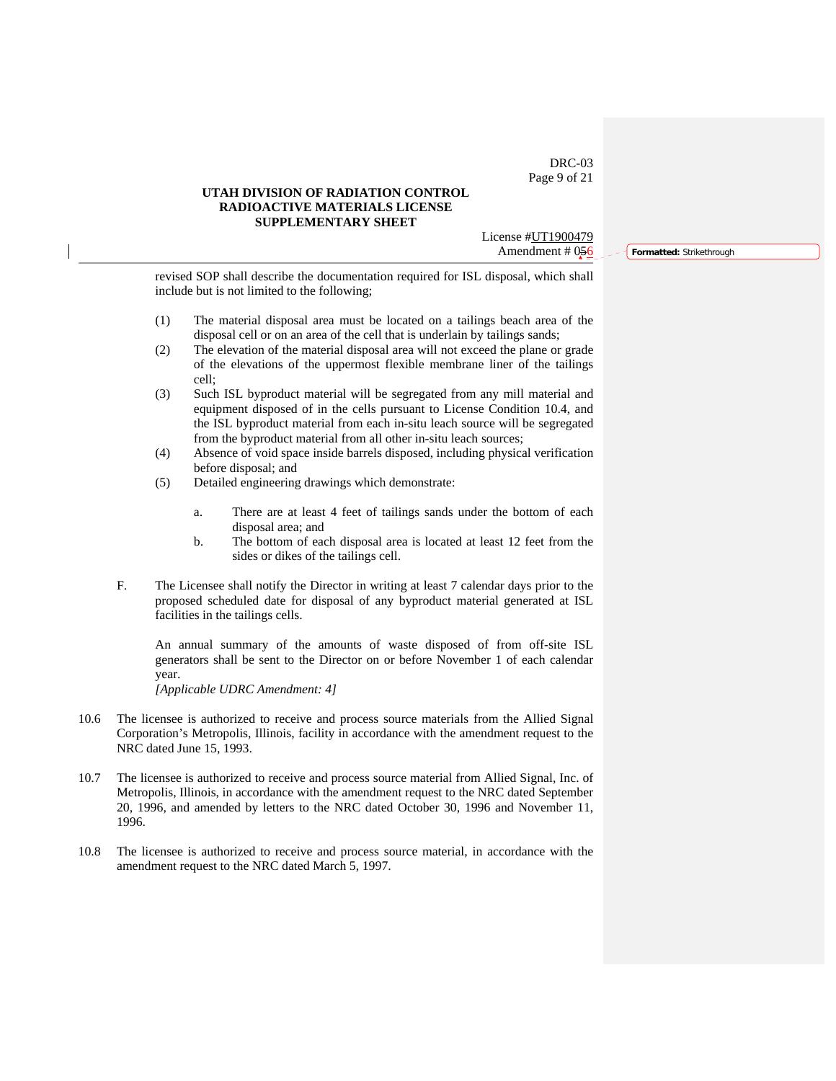DRC-03 Page 9 of 21

#### **UTAH DIVISION OF RADIATION CONTROL RADIOACTIVE MATERIALS LICENSE SUPPLEMENTARY SHEET**

License #UT1900479

revised SOP shall describe the documentation required for ISL disposal, which shall include but is not limited to the following;

- (1) The material disposal area must be located on a tailings beach area of the disposal cell or on an area of the cell that is underlain by tailings sands;
- (2) The elevation of the material disposal area will not exceed the plane or grade of the elevations of the uppermost flexible membrane liner of the tailings cell;
- (3) Such ISL byproduct material will be segregated from any mill material and equipment disposed of in the cells pursuant to License Condition 10.4, and the ISL byproduct material from each in-situ leach source will be segregated from the byproduct material from all other in-situ leach sources;
- (4) Absence of void space inside barrels disposed, including physical verification before disposal; and
- (5) Detailed engineering drawings which demonstrate:
	- a. There are at least 4 feet of tailings sands under the bottom of each disposal area; and
	- b. The bottom of each disposal area is located at least 12 feet from the sides or dikes of the tailings cell.
- F. The Licensee shall notify the Director in writing at least 7 calendar days prior to the proposed scheduled date for disposal of any byproduct material generated at ISL facilities in the tailings cells.

An annual summary of the amounts of waste disposed of from off-site ISL generators shall be sent to the Director on or before November 1 of each calendar year.

*[Applicable UDRC Amendment: 4]*

- 10.6 The licensee is authorized to receive and process source materials from the Allied Signal Corporation's Metropolis, Illinois, facility in accordance with the amendment request to the NRC dated June 15, 1993.
- 10.7 The licensee is authorized to receive and process source material from Allied Signal, Inc. of Metropolis, Illinois, in accordance with the amendment request to the NRC dated September 20, 1996, and amended by letters to the NRC dated October 30, 1996 and November 11, 1996.
- 10.8 The licensee is authorized to receive and process source material, in accordance with the amendment request to the NRC dated March 5, 1997.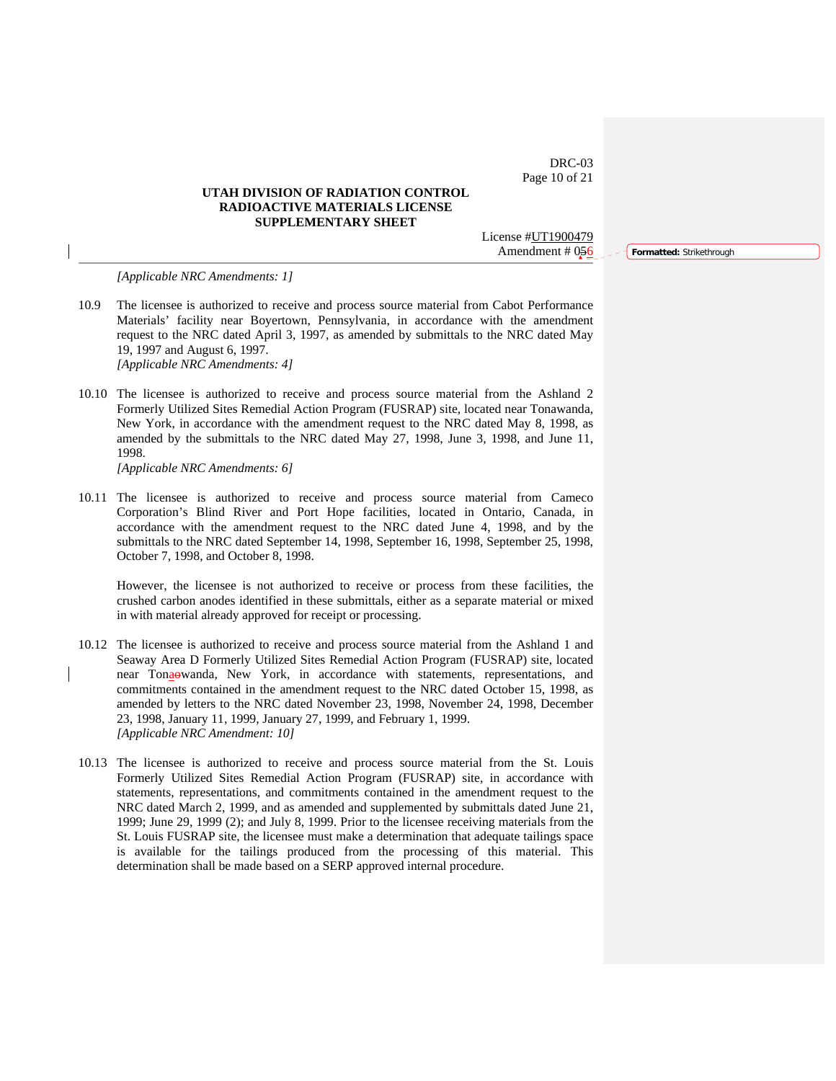DRC-03 Page 10 of 21

## **UTAH DIVISION OF RADIATION CONTROL RADIOACTIVE MATERIALS LICENSE SUPPLEMENTARY SHEET**

License #UT1900479 Amendment # 056 **Formatted:** Strikethrough

*[Applicable NRC Amendments: 1]* 

- 10.9 The licensee is authorized to receive and process source material from Cabot Performance Materials' facility near Boyertown, Pennsylvania, in accordance with the amendment request to the NRC dated April 3, 1997, as amended by submittals to the NRC dated May 19, 1997 and August 6, 1997. *[Applicable NRC Amendments: 4]*
- 10.10 The licensee is authorized to receive and process source material from the Ashland 2 Formerly Utilized Sites Remedial Action Program (FUSRAP) site, located near Tonawanda, New York, in accordance with the amendment request to the NRC dated May 8, 1998, as amended by the submittals to the NRC dated May 27, 1998, June 3, 1998, and June 11, 1998.

*[Applicable NRC Amendments: 6]* 

10.11 The licensee is authorized to receive and process source material from Cameco Corporation's Blind River and Port Hope facilities, located in Ontario, Canada, in accordance with the amendment request to the NRC dated June 4, 1998, and by the submittals to the NRC dated September 14, 1998, September 16, 1998, September 25, 1998, October 7, 1998, and October 8, 1998.

However, the licensee is not authorized to receive or process from these facilities, the crushed carbon anodes identified in these submittals, either as a separate material or mixed in with material already approved for receipt or processing.

- 10.12 The licensee is authorized to receive and process source material from the Ashland 1 and Seaway Area D Formerly Utilized Sites Remedial Action Program (FUSRAP) site, located near Tonaowanda, New York, in accordance with statements, representations, and commitments contained in the amendment request to the NRC dated October 15, 1998, as amended by letters to the NRC dated November 23, 1998, November 24, 1998, December 23, 1998, January 11, 1999, January 27, 1999, and February 1, 1999. *[Applicable NRC Amendment: 10]*
- 10.13 The licensee is authorized to receive and process source material from the St. Louis Formerly Utilized Sites Remedial Action Program (FUSRAP) site, in accordance with statements, representations, and commitments contained in the amendment request to the NRC dated March 2, 1999, and as amended and supplemented by submittals dated June 21, 1999; June 29, 1999 (2); and July 8, 1999. Prior to the licensee receiving materials from the St. Louis FUSRAP site, the licensee must make a determination that adequate tailings space is available for the tailings produced from the processing of this material. This determination shall be made based on a SERP approved internal procedure.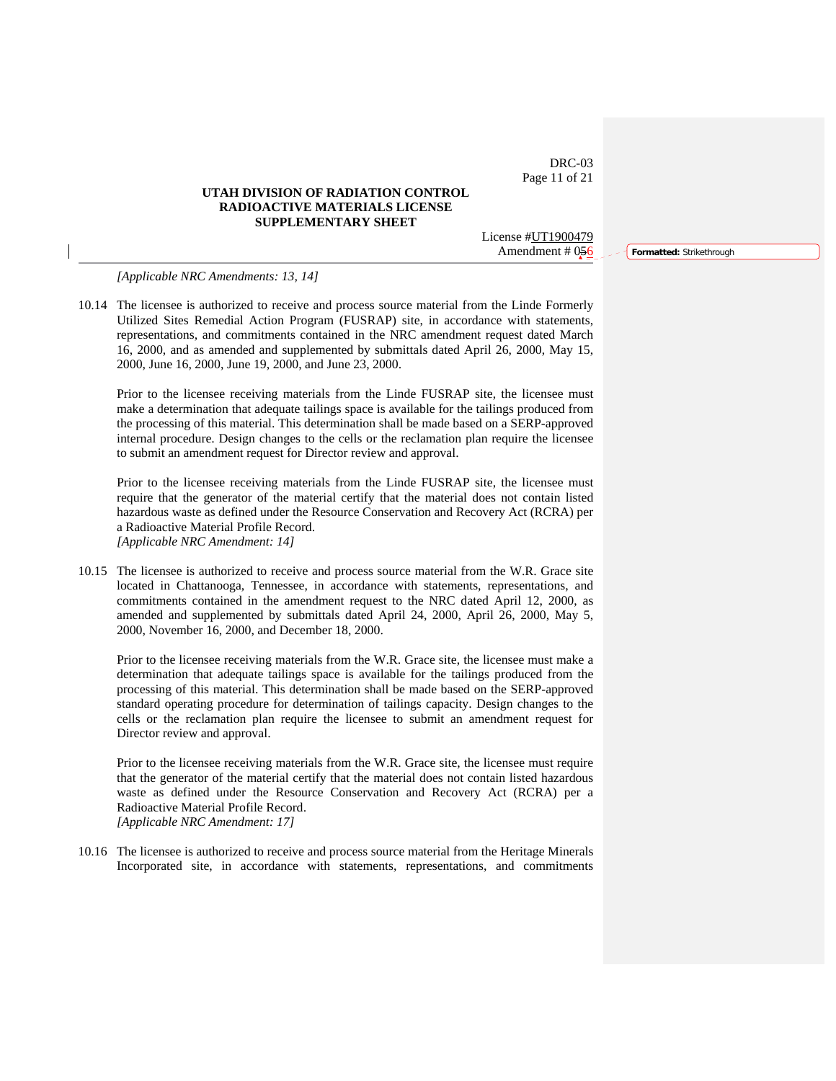DRC-03 Page 11 of 21

## **UTAH DIVISION OF RADIATION CONTROL RADIOACTIVE MATERIALS LICENSE SUPPLEMENTARY SHEET**

License #UT1900479 Amendment # 056 **Formatted:** Strikethrough

*[Applicable NRC Amendments: 13, 14]* 

10.14 The licensee is authorized to receive and process source material from the Linde Formerly Utilized Sites Remedial Action Program (FUSRAP) site, in accordance with statements, representations, and commitments contained in the NRC amendment request dated March 16, 2000, and as amended and supplemented by submittals dated April 26, 2000, May 15, 2000, June 16, 2000, June 19, 2000, and June 23, 2000.

Prior to the licensee receiving materials from the Linde FUSRAP site, the licensee must make a determination that adequate tailings space is available for the tailings produced from the processing of this material. This determination shall be made based on a SERP-approved internal procedure. Design changes to the cells or the reclamation plan require the licensee to submit an amendment request for Director review and approval.

Prior to the licensee receiving materials from the Linde FUSRAP site, the licensee must require that the generator of the material certify that the material does not contain listed hazardous waste as defined under the Resource Conservation and Recovery Act (RCRA) per a Radioactive Material Profile Record.

*[Applicable NRC Amendment: 14]* 

10.15 The licensee is authorized to receive and process source material from the W.R. Grace site located in Chattanooga, Tennessee, in accordance with statements, representations, and commitments contained in the amendment request to the NRC dated April 12, 2000, as amended and supplemented by submittals dated April 24, 2000, April 26, 2000, May 5, 2000, November 16, 2000, and December 18, 2000.

Prior to the licensee receiving materials from the W.R. Grace site, the licensee must make a determination that adequate tailings space is available for the tailings produced from the processing of this material. This determination shall be made based on the SERP-approved standard operating procedure for determination of tailings capacity. Design changes to the cells or the reclamation plan require the licensee to submit an amendment request for Director review and approval.

Prior to the licensee receiving materials from the W.R. Grace site, the licensee must require that the generator of the material certify that the material does not contain listed hazardous waste as defined under the Resource Conservation and Recovery Act (RCRA) per a Radioactive Material Profile Record. *[Applicable NRC Amendment: 17]* 

10.16 The licensee is authorized to receive and process source material from the Heritage Minerals Incorporated site, in accordance with statements, representations, and commitments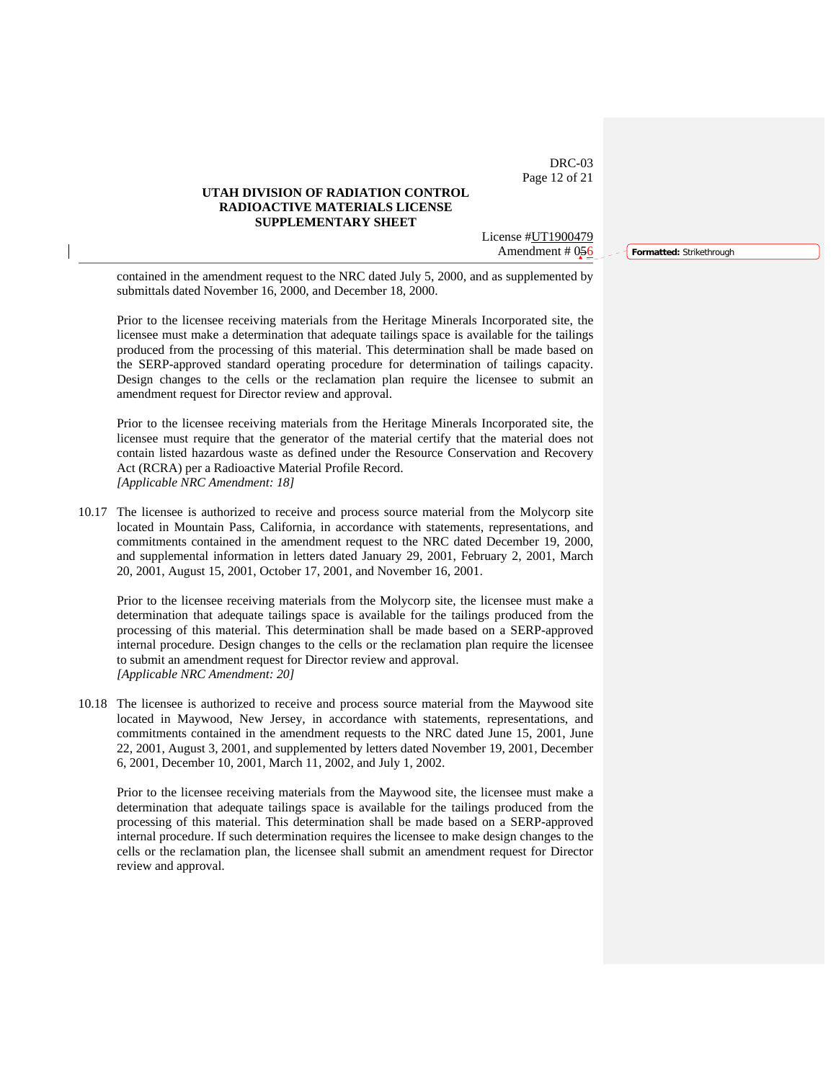DRC-03 Page 12 of 21

## **UTAH DIVISION OF RADIATION CONTROL RADIOACTIVE MATERIALS LICENSE SUPPLEMENTARY SHEET**

License #UT1900479 Amendment # 056 **Formatted:** Strikethrough

contained in the amendment request to the NRC dated July 5, 2000, and as supplemented by submittals dated November 16, 2000, and December 18, 2000.

Prior to the licensee receiving materials from the Heritage Minerals Incorporated site, the licensee must make a determination that adequate tailings space is available for the tailings produced from the processing of this material. This determination shall be made based on the SERP-approved standard operating procedure for determination of tailings capacity. Design changes to the cells or the reclamation plan require the licensee to submit an amendment request for Director review and approval.

Prior to the licensee receiving materials from the Heritage Minerals Incorporated site, the licensee must require that the generator of the material certify that the material does not contain listed hazardous waste as defined under the Resource Conservation and Recovery Act (RCRA) per a Radioactive Material Profile Record. *[Applicable NRC Amendment: 18]* 

10.17 The licensee is authorized to receive and process source material from the Molycorp site located in Mountain Pass, California, in accordance with statements, representations, and commitments contained in the amendment request to the NRC dated December 19, 2000, and supplemental information in letters dated January 29, 2001, February 2, 2001, March 20, 2001, August 15, 2001, October 17, 2001, and November 16, 2001.

Prior to the licensee receiving materials from the Molycorp site, the licensee must make a determination that adequate tailings space is available for the tailings produced from the processing of this material. This determination shall be made based on a SERP-approved internal procedure. Design changes to the cells or the reclamation plan require the licensee to submit an amendment request for Director review and approval. *[Applicable NRC Amendment: 20]* 

10.18 The licensee is authorized to receive and process source material from the Maywood site located in Maywood, New Jersey, in accordance with statements, representations, and commitments contained in the amendment requests to the NRC dated June 15, 2001, June 22, 2001, August 3, 2001, and supplemented by letters dated November 19, 2001, December 6, 2001, December 10, 2001, March 11, 2002, and July 1, 2002.

Prior to the licensee receiving materials from the Maywood site, the licensee must make a determination that adequate tailings space is available for the tailings produced from the processing of this material. This determination shall be made based on a SERP-approved internal procedure. If such determination requires the licensee to make design changes to the cells or the reclamation plan, the licensee shall submit an amendment request for Director review and approval.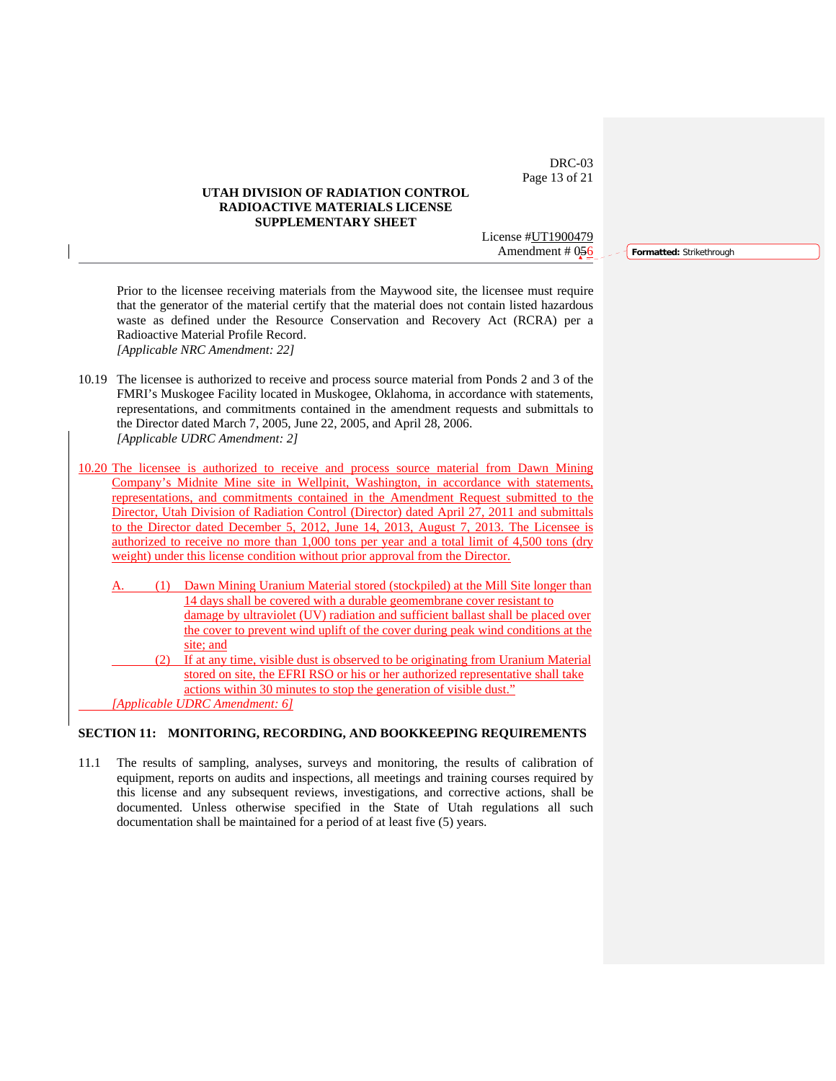DRC-03 Page 13 of 21

## **UTAH DIVISION OF RADIATION CONTROL RADIOACTIVE MATERIALS LICENSE SUPPLEMENTARY SHEET**

License #UT1900479 Amendment # 056 **Formatted:** Strikethrough

Prior to the licensee receiving materials from the Maywood site, the licensee must require that the generator of the material certify that the material does not contain listed hazardous waste as defined under the Resource Conservation and Recovery Act (RCRA) per a Radioactive Material Profile Record. *[Applicable NRC Amendment: 22]* 

- 10.19 The licensee is authorized to receive and process source material from Ponds 2 and 3 of the FMRI's Muskogee Facility located in Muskogee, Oklahoma, in accordance with statements, representations, and commitments contained in the amendment requests and submittals to the Director dated March 7, 2005, June 22, 2005, and April 28, 2006. *[Applicable UDRC Amendment: 2]*
- 10.20 The licensee is authorized to receive and process source material from Dawn Mining Company's Midnite Mine site in Wellpinit, Washington, in accordance with statements, representations, and commitments contained in the Amendment Request submitted to the Director, Utah Division of Radiation Control (Director) dated April 27, 2011 and submittals to the Director dated December 5, 2012, June 14, 2013, August 7, 2013. The Licensee is authorized to receive no more than 1,000 tons per year and a total limit of 4,500 tons (dry weight) under this license condition without prior approval from the Director.
	- A. (1) Dawn Mining Uranium Material stored (stockpiled) at the Mill Site longer than 14 days shall be covered with a durable geomembrane cover resistant to damage by ultraviolet (UV) radiation and sufficient ballast shall be placed over the cover to prevent wind uplift of the cover during peak wind conditions at the site; and If at any time, visible dust is observed to be originating from Uranium Material
	- stored on site, the EFRI RSO or his or her authorized representative shall take actions within 30 minutes to stop the generation of visible dust." *[Applicable UDRC Amendment: 6]*

#### **SECTION 11: MONITORING, RECORDING, AND BOOKKEEPING REQUIREMENTS**

11.1 The results of sampling, analyses, surveys and monitoring, the results of calibration of equipment, reports on audits and inspections, all meetings and training courses required by this license and any subsequent reviews, investigations, and corrective actions, shall be documented. Unless otherwise specified in the State of Utah regulations all such documentation shall be maintained for a period of at least five (5) years.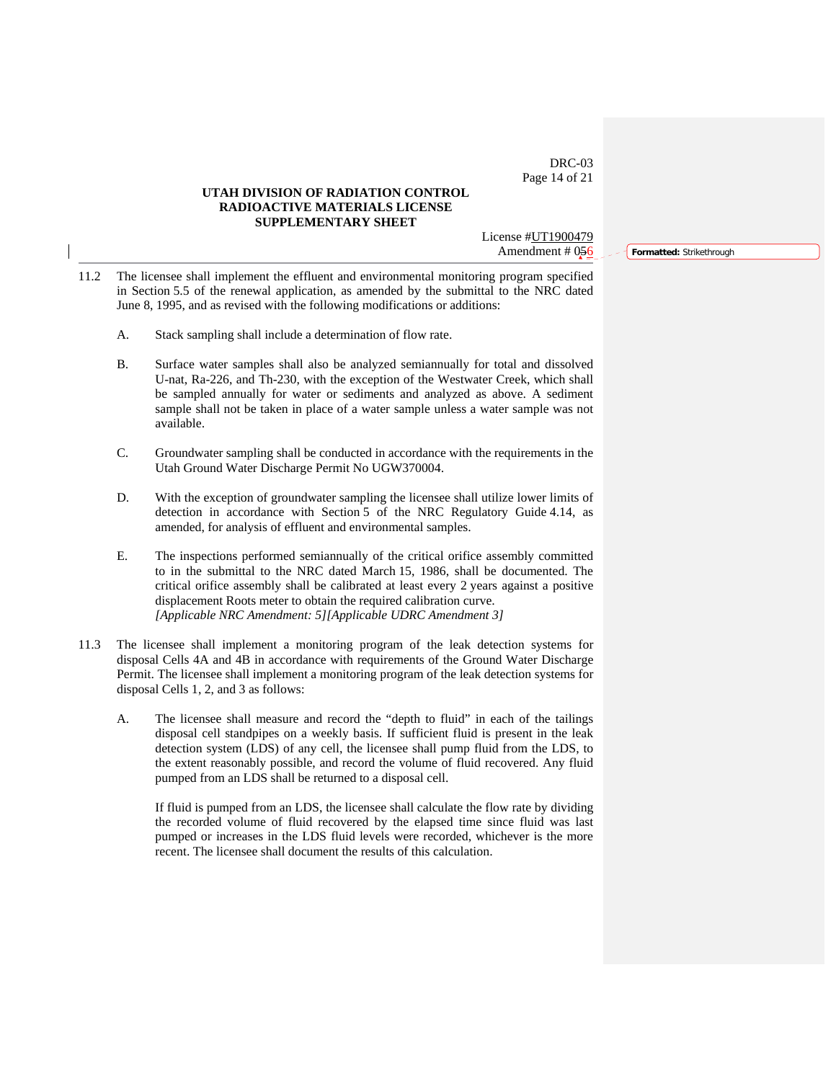DRC-03 Page 14 of 21

## **UTAH DIVISION OF RADIATION CONTROL RADIOACTIVE MATERIALS LICENSE SUPPLEMENTARY SHEET**

License #UT1900479 Amendment # 056 **Formatted:** Strikethrough

- 11.2 The licensee shall implement the effluent and environmental monitoring program specified in Section 5.5 of the renewal application, as amended by the submittal to the NRC dated June 8, 1995, and as revised with the following modifications or additions:
	- A. Stack sampling shall include a determination of flow rate.
	- B. Surface water samples shall also be analyzed semiannually for total and dissolved U-nat, Ra-226, and Th-230, with the exception of the Westwater Creek, which shall be sampled annually for water or sediments and analyzed as above. A sediment sample shall not be taken in place of a water sample unless a water sample was not available.
	- C. Groundwater sampling shall be conducted in accordance with the requirements in the Utah Ground Water Discharge Permit No UGW370004.
	- D. With the exception of groundwater sampling the licensee shall utilize lower limits of detection in accordance with Section 5 of the NRC Regulatory Guide 4.14, as amended, for analysis of effluent and environmental samples.
	- E. The inspections performed semiannually of the critical orifice assembly committed to in the submittal to the NRC dated March 15, 1986, shall be documented. The critical orifice assembly shall be calibrated at least every 2 years against a positive displacement Roots meter to obtain the required calibration curve.  *[Applicable NRC Amendment: 5][Applicable UDRC Amendment 3]*
- 11.3 The licensee shall implement a monitoring program of the leak detection systems for disposal Cells 4A and 4B in accordance with requirements of the Ground Water Discharge Permit. The licensee shall implement a monitoring program of the leak detection systems for disposal Cells 1, 2, and 3 as follows:
	- A. The licensee shall measure and record the "depth to fluid" in each of the tailings disposal cell standpipes on a weekly basis. If sufficient fluid is present in the leak detection system (LDS) of any cell, the licensee shall pump fluid from the LDS, to the extent reasonably possible, and record the volume of fluid recovered. Any fluid pumped from an LDS shall be returned to a disposal cell.

If fluid is pumped from an LDS, the licensee shall calculate the flow rate by dividing the recorded volume of fluid recovered by the elapsed time since fluid was last pumped or increases in the LDS fluid levels were recorded, whichever is the more recent. The licensee shall document the results of this calculation.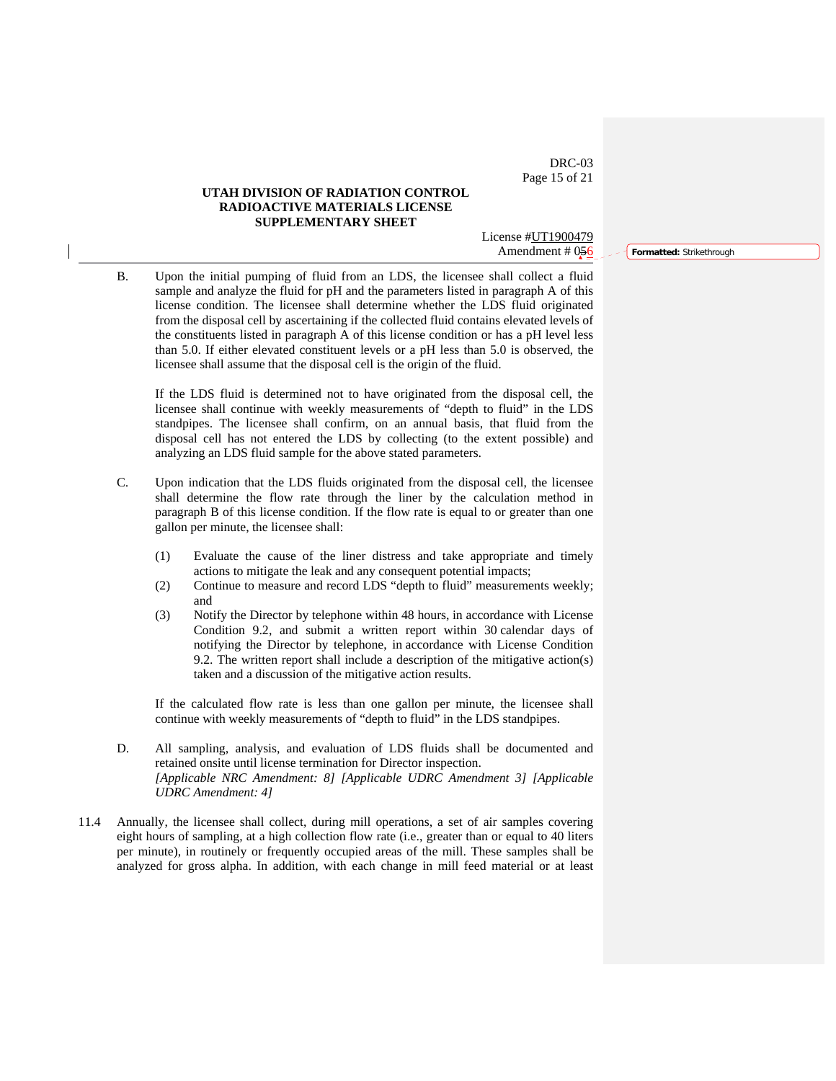DRC-03 Page 15 of 21

## **UTAH DIVISION OF RADIATION CONTROL RADIOACTIVE MATERIALS LICENSE SUPPLEMENTARY SHEET**

License #UT1900479 Amendment # 056 **Formatted:** Strikethrough

B. Upon the initial pumping of fluid from an LDS, the licensee shall collect a fluid sample and analyze the fluid for pH and the parameters listed in paragraph A of this license condition. The licensee shall determine whether the LDS fluid originated from the disposal cell by ascertaining if the collected fluid contains elevated levels of the constituents listed in paragraph A of this license condition or has a pH level less than 5.0. If either elevated constituent levels or a pH less than 5.0 is observed, the licensee shall assume that the disposal cell is the origin of the fluid.

If the LDS fluid is determined not to have originated from the disposal cell, the licensee shall continue with weekly measurements of "depth to fluid" in the LDS standpipes. The licensee shall confirm, on an annual basis, that fluid from the disposal cell has not entered the LDS by collecting (to the extent possible) and analyzing an LDS fluid sample for the above stated parameters.

- C. Upon indication that the LDS fluids originated from the disposal cell, the licensee shall determine the flow rate through the liner by the calculation method in paragraph B of this license condition. If the flow rate is equal to or greater than one gallon per minute, the licensee shall:
	- (1) Evaluate the cause of the liner distress and take appropriate and timely actions to mitigate the leak and any consequent potential impacts;
	- (2) Continue to measure and record LDS "depth to fluid" measurements weekly; and
	- (3) Notify the Director by telephone within 48 hours, in accordance with License Condition 9.2, and submit a written report within 30 calendar days of notifying the Director by telephone, in accordance with License Condition 9.2. The written report shall include a description of the mitigative action(s) taken and a discussion of the mitigative action results.

If the calculated flow rate is less than one gallon per minute, the licensee shall continue with weekly measurements of "depth to fluid" in the LDS standpipes.

- D. All sampling, analysis, and evaluation of LDS fluids shall be documented and retained onsite until license termination for Director inspection.  *[Applicable NRC Amendment: 8] [Applicable UDRC Amendment 3] [Applicable UDRC Amendment: 4]*
- 11.4 Annually, the licensee shall collect, during mill operations, a set of air samples covering eight hours of sampling, at a high collection flow rate (i.e., greater than or equal to 40 liters per minute), in routinely or frequently occupied areas of the mill. These samples shall be analyzed for gross alpha. In addition, with each change in mill feed material or at least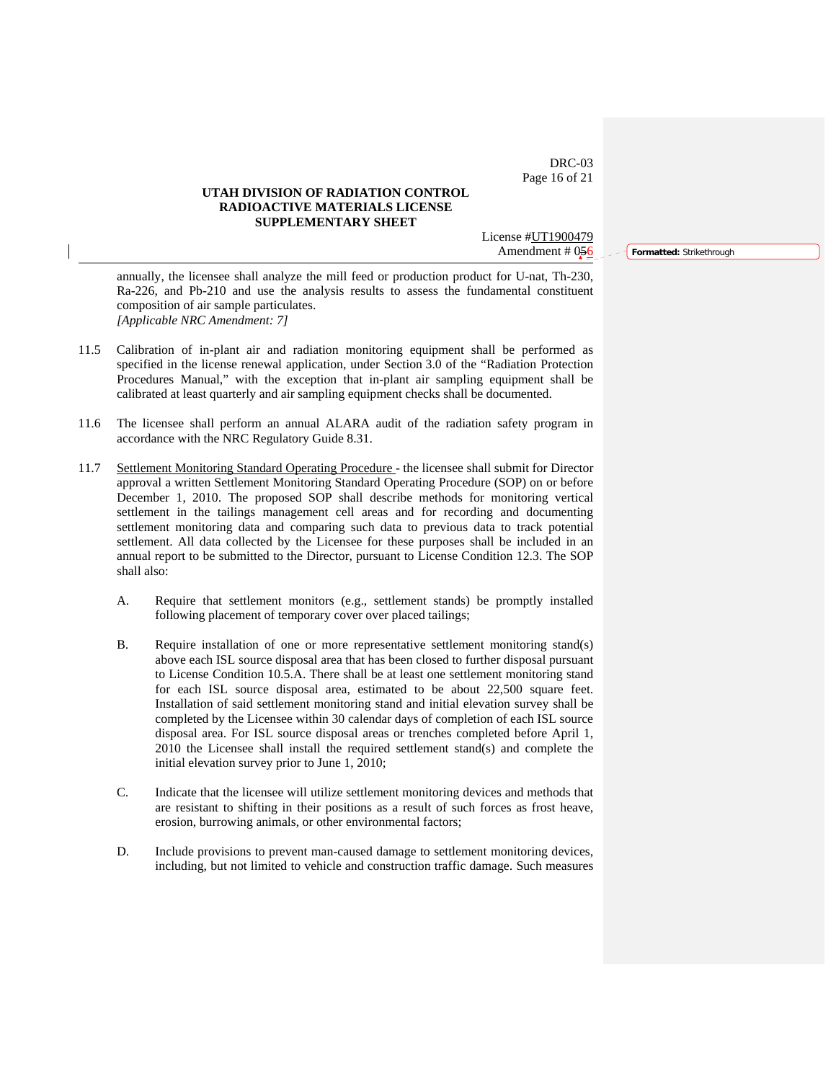DRC-03 Page 16 of 21

# **UTAH DIVISION OF RADIATION CONTROL RADIOACTIVE MATERIALS LICENSE SUPPLEMENTARY SHEET**

License #UT1900479 Amendment # 056 **Formatted:** Strikethrough

annually, the licensee shall analyze the mill feed or production product for U-nat, Th-230, Ra-226, and Pb-210 and use the analysis results to assess the fundamental constituent composition of air sample particulates. *[Applicable NRC Amendment: 7]* 

- 11.5 Calibration of in-plant air and radiation monitoring equipment shall be performed as specified in the license renewal application, under Section 3.0 of the "Radiation Protection Procedures Manual," with the exception that in-plant air sampling equipment shall be calibrated at least quarterly and air sampling equipment checks shall be documented.
- 11.6 The licensee shall perform an annual ALARA audit of the radiation safety program in accordance with the NRC Regulatory Guide 8.31.
- 11.7 Settlement Monitoring Standard Operating Procedure the licensee shall submit for Director approval a written Settlement Monitoring Standard Operating Procedure (SOP) on or before December 1, 2010. The proposed SOP shall describe methods for monitoring vertical settlement in the tailings management cell areas and for recording and documenting settlement monitoring data and comparing such data to previous data to track potential settlement. All data collected by the Licensee for these purposes shall be included in an annual report to be submitted to the Director, pursuant to License Condition 12.3. The SOP shall also:
	- A. Require that settlement monitors (e.g., settlement stands) be promptly installed following placement of temporary cover over placed tailings;
	- B. Require installation of one or more representative settlement monitoring stand(s) above each ISL source disposal area that has been closed to further disposal pursuant to License Condition 10.5.A. There shall be at least one settlement monitoring stand for each ISL source disposal area, estimated to be about 22,500 square feet. Installation of said settlement monitoring stand and initial elevation survey shall be completed by the Licensee within 30 calendar days of completion of each ISL source disposal area. For ISL source disposal areas or trenches completed before April 1, 2010 the Licensee shall install the required settlement stand(s) and complete the initial elevation survey prior to June 1, 2010;
	- C. Indicate that the licensee will utilize settlement monitoring devices and methods that are resistant to shifting in their positions as a result of such forces as frost heave, erosion, burrowing animals, or other environmental factors;
	- D. Include provisions to prevent man-caused damage to settlement monitoring devices, including, but not limited to vehicle and construction traffic damage. Such measures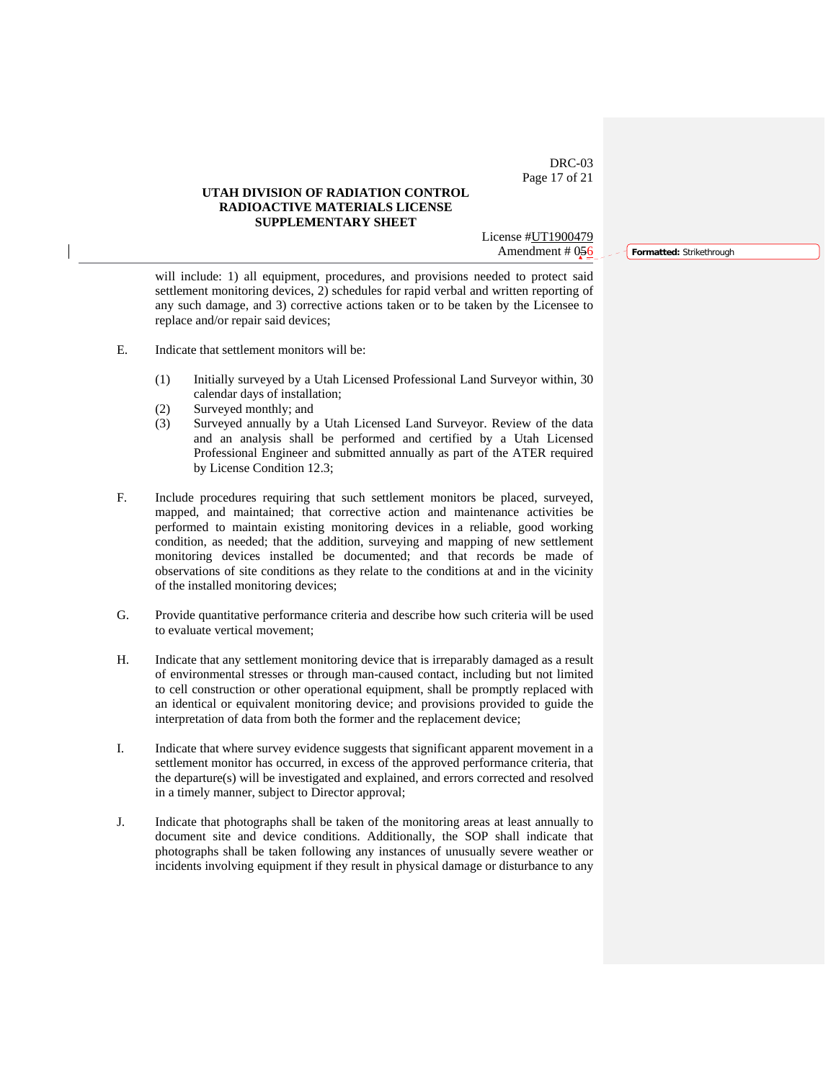DRC-03 Page 17 of 21

## **UTAH DIVISION OF RADIATION CONTROL RADIOACTIVE MATERIALS LICENSE SUPPLEMENTARY SHEET**

License #UT1900479 Amendment # 056 **Formatted:** Strikethrough

will include: 1) all equipment, procedures, and provisions needed to protect said settlement monitoring devices, 2) schedules for rapid verbal and written reporting of any such damage, and 3) corrective actions taken or to be taken by the Licensee to replace and/or repair said devices;

- E. Indicate that settlement monitors will be:
	- (1) Initially surveyed by a Utah Licensed Professional Land Surveyor within, 30 calendar days of installation;
	- (2) Surveyed monthly; and
	- (3) Surveyed annually by a Utah Licensed Land Surveyor. Review of the data and an analysis shall be performed and certified by a Utah Licensed Professional Engineer and submitted annually as part of the ATER required by License Condition 12.3;
- F. Include procedures requiring that such settlement monitors be placed, surveyed, mapped, and maintained; that corrective action and maintenance activities be performed to maintain existing monitoring devices in a reliable, good working condition, as needed; that the addition, surveying and mapping of new settlement monitoring devices installed be documented; and that records be made of observations of site conditions as they relate to the conditions at and in the vicinity of the installed monitoring devices;
- G. Provide quantitative performance criteria and describe how such criteria will be used to evaluate vertical movement;
- H. Indicate that any settlement monitoring device that is irreparably damaged as a result of environmental stresses or through man-caused contact, including but not limited to cell construction or other operational equipment, shall be promptly replaced with an identical or equivalent monitoring device; and provisions provided to guide the interpretation of data from both the former and the replacement device;
- I. Indicate that where survey evidence suggests that significant apparent movement in a settlement monitor has occurred, in excess of the approved performance criteria, that the departure(s) will be investigated and explained, and errors corrected and resolved in a timely manner, subject to Director approval;
- J. Indicate that photographs shall be taken of the monitoring areas at least annually to document site and device conditions. Additionally, the SOP shall indicate that photographs shall be taken following any instances of unusually severe weather or incidents involving equipment if they result in physical damage or disturbance to any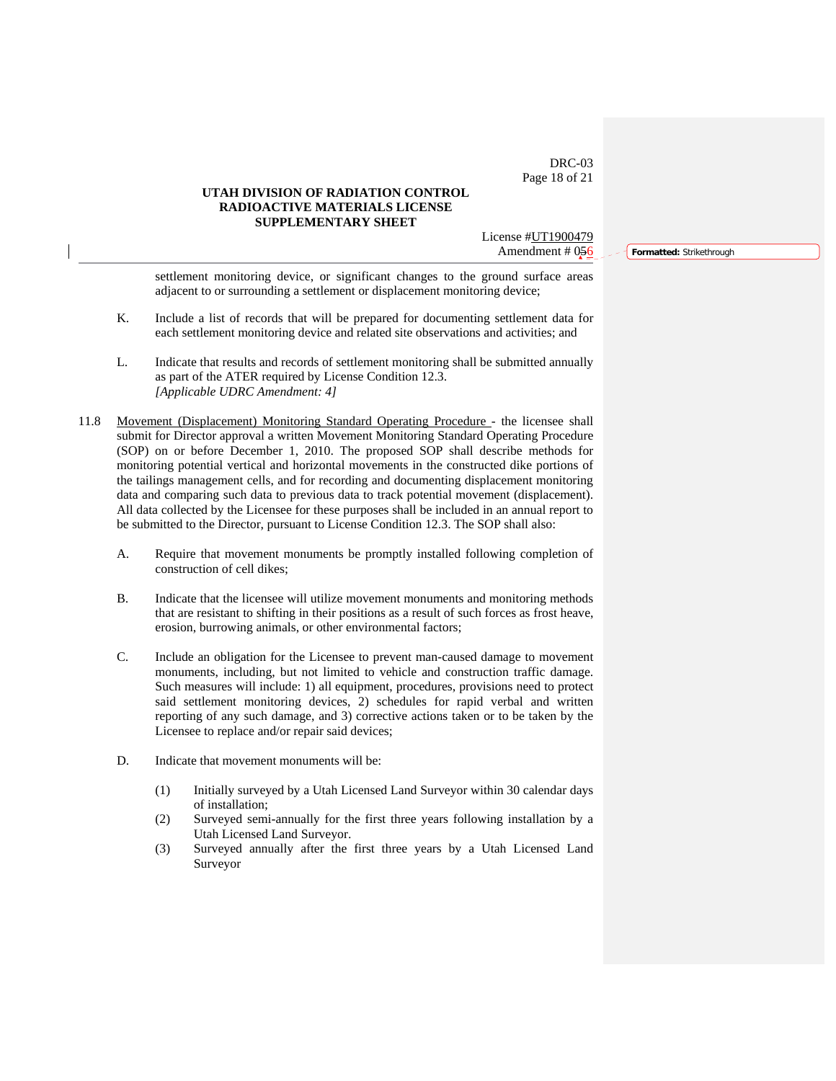DRC-03 Page 18 of 21

## **UTAH DIVISION OF RADIATION CONTROL RADIOACTIVE MATERIALS LICENSE SUPPLEMENTARY SHEET**

License #UT1900479

settlement monitoring device, or significant changes to the ground surface areas adjacent to or surrounding a settlement or displacement monitoring device;

- K. Include a list of records that will be prepared for documenting settlement data for each settlement monitoring device and related site observations and activities; and
- L. Indicate that results and records of settlement monitoring shall be submitted annually as part of the ATER required by License Condition 12.3.  *[Applicable UDRC Amendment: 4]*
- 11.8 Movement (Displacement) Monitoring Standard Operating Procedure the licensee shall submit for Director approval a written Movement Monitoring Standard Operating Procedure (SOP) on or before December 1, 2010. The proposed SOP shall describe methods for monitoring potential vertical and horizontal movements in the constructed dike portions of the tailings management cells, and for recording and documenting displacement monitoring data and comparing such data to previous data to track potential movement (displacement). All data collected by the Licensee for these purposes shall be included in an annual report to be submitted to the Director, pursuant to License Condition 12.3. The SOP shall also:
	- A. Require that movement monuments be promptly installed following completion of construction of cell dikes;
	- B. Indicate that the licensee will utilize movement monuments and monitoring methods that are resistant to shifting in their positions as a result of such forces as frost heave, erosion, burrowing animals, or other environmental factors;
	- C. Include an obligation for the Licensee to prevent man-caused damage to movement monuments, including, but not limited to vehicle and construction traffic damage. Such measures will include: 1) all equipment, procedures, provisions need to protect said settlement monitoring devices, 2) schedules for rapid verbal and written reporting of any such damage, and 3) corrective actions taken or to be taken by the Licensee to replace and/or repair said devices;
	- D. Indicate that movement monuments will be:
		- (1) Initially surveyed by a Utah Licensed Land Surveyor within 30 calendar days of installation;
		- (2) Surveyed semi-annually for the first three years following installation by a Utah Licensed Land Surveyor.
		- (3) Surveyed annually after the first three years by a Utah Licensed Land Surveyor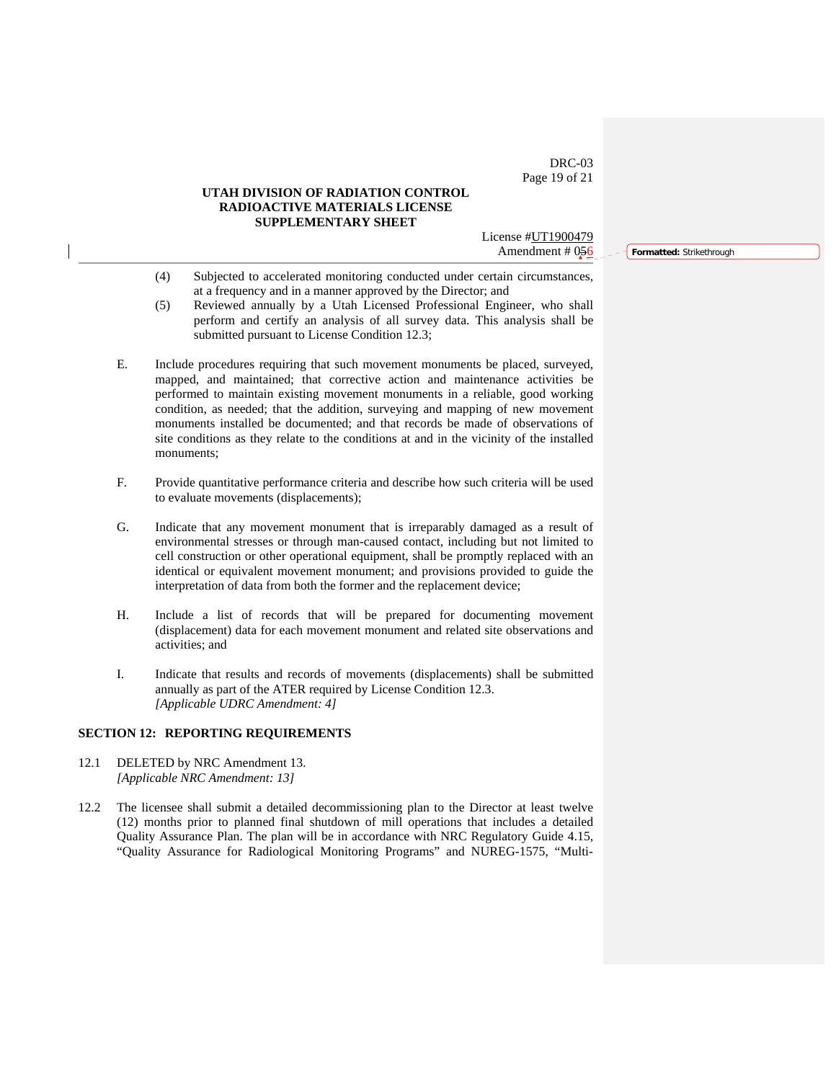DRC-03 Page 19 of 21

## **UTAH DIVISION OF RADIATION CONTROL RADIOACTIVE MATERIALS LICENSE SUPPLEMENTARY SHEET**

License #UT1900479

- (4) Subjected to accelerated monitoring conducted under certain circumstances, at a frequency and in a manner approved by the Director; and
- (5) Reviewed annually by a Utah Licensed Professional Engineer, who shall perform and certify an analysis of all survey data. This analysis shall be submitted pursuant to License Condition 12.3;
- E. Include procedures requiring that such movement monuments be placed, surveyed, mapped, and maintained; that corrective action and maintenance activities be performed to maintain existing movement monuments in a reliable, good working condition, as needed; that the addition, surveying and mapping of new movement monuments installed be documented; and that records be made of observations of site conditions as they relate to the conditions at and in the vicinity of the installed monuments;
- F. Provide quantitative performance criteria and describe how such criteria will be used to evaluate movements (displacements);
- G. Indicate that any movement monument that is irreparably damaged as a result of environmental stresses or through man-caused contact, including but not limited to cell construction or other operational equipment, shall be promptly replaced with an identical or equivalent movement monument; and provisions provided to guide the interpretation of data from both the former and the replacement device;
- H. Include a list of records that will be prepared for documenting movement (displacement) data for each movement monument and related site observations and activities; and
- I. Indicate that results and records of movements (displacements) shall be submitted annually as part of the ATER required by License Condition 12.3.  *[Applicable UDRC Amendment: 4]*

## **SECTION 12: REPORTING REQUIREMENTS**

- 12.1 DELETED by NRC Amendment 13. *[Applicable NRC Amendment: 13]*
- 12.2 The licensee shall submit a detailed decommissioning plan to the Director at least twelve (12) months prior to planned final shutdown of mill operations that includes a detailed Quality Assurance Plan. The plan will be in accordance with NRC Regulatory Guide 4.15, "Quality Assurance for Radiological Monitoring Programs" and NUREG-1575, "Multi-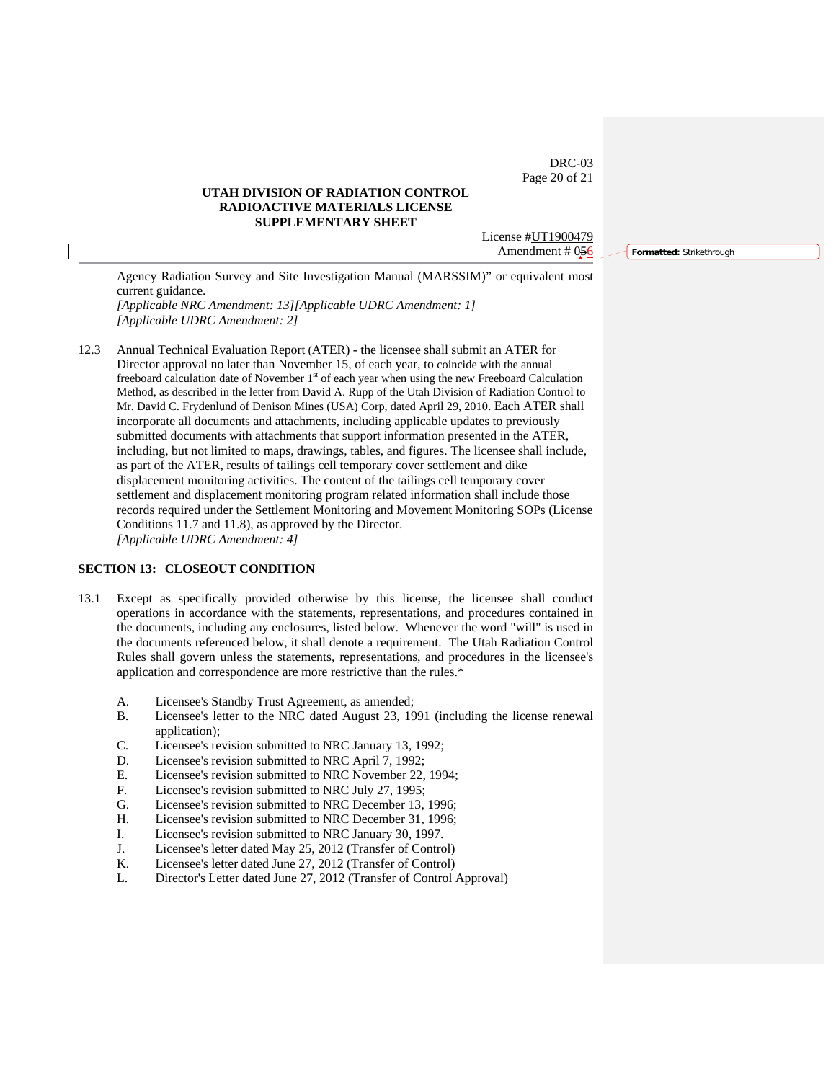DRC-03 Page 20 of 21

## **UTAH DIVISION OF RADIATION CONTROL RADIOACTIVE MATERIALS LICENSE SUPPLEMENTARY SHEET**

License #UT1900479

Agency Radiation Survey and Site Investigation Manual (MARSSIM)" or equivalent most current guidance. *[Applicable NRC Amendment: 13][Applicable UDRC Amendment: 1]* 

*[Applicable UDRC Amendment: 2]* 

12.3 Annual Technical Evaluation Report (ATER) - the licensee shall submit an ATER for Director approval no later than November 15, of each year, to coincide with the annual freeboard calculation date of November  $1<sup>st</sup>$  of each year when using the new Freeboard Calculation Method, as described in the letter from David A. Rupp of the Utah Division of Radiation Control to Mr. David C. Frydenlund of Denison Mines (USA) Corp, dated April 29, 2010. Each ATER shall incorporate all documents and attachments, including applicable updates to previously submitted documents with attachments that support information presented in the ATER, including, but not limited to maps, drawings, tables, and figures. The licensee shall include, as part of the ATER, results of tailings cell temporary cover settlement and dike displacement monitoring activities. The content of the tailings cell temporary cover settlement and displacement monitoring program related information shall include those records required under the Settlement Monitoring and Movement Monitoring SOPs (License Conditions 11.7 and 11.8), as approved by the Director. *[Applicable UDRC Amendment: 4]* 

#### **SECTION 13: CLOSEOUT CONDITION**

- 13.1 Except as specifically provided otherwise by this license, the licensee shall conduct operations in accordance with the statements, representations, and procedures contained in the documents, including any enclosures, listed below. Whenever the word "will" is used in the documents referenced below, it shall denote a requirement. The Utah Radiation Control Rules shall govern unless the statements, representations, and procedures in the licensee's application and correspondence are more restrictive than the rules.\*
	- A. Licensee's Standby Trust Agreement, as amended;
	- B. Licensee's letter to the NRC dated August 23, 1991 (including the license renewal application);
	- C. Licensee's revision submitted to NRC January 13, 1992;
	- D. Licensee's revision submitted to NRC April 7, 1992;
	- E. Licensee's revision submitted to NRC November 22, 1994;
	- F. Licensee's revision submitted to NRC July 27, 1995;
	- G. Licensee's revision submitted to NRC December 13, 1996;
	- H. Licensee's revision submitted to NRC December 31, 1996;
	- I. Licensee's revision submitted to NRC January 30, 1997.
	- J. Licensee's letter dated May 25, 2012 (Transfer of Control)
	- K. Licensee's letter dated June 27, 2012 (Transfer of Control)
	- L. Director's Letter dated June 27, 2012 (Transfer of Control Approval)